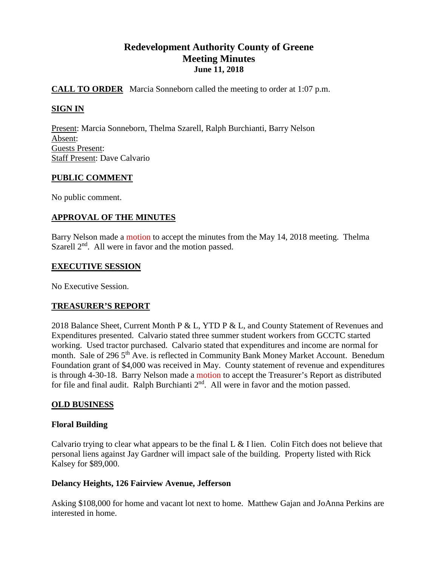# **Redevelopment Authority County of Greene Meeting Minutes June 11, 2018**

# **CALL TO ORDER** Marcia Sonneborn called the meeting to order at 1:07 p.m.

# **SIGN IN**

Present: Marcia Sonneborn, Thelma Szarell, Ralph Burchianti, Barry Nelson Absent: Guests Present: Staff Present: Dave Calvario

## **PUBLIC COMMENT**

No public comment.

# **APPROVAL OF THE MINUTES**

Barry Nelson made a motion to accept the minutes from the May 14, 2018 meeting. Thelma Szarell  $2<sup>nd</sup>$ . All were in favor and the motion passed.

## **EXECUTIVE SESSION**

No Executive Session.

## **TREASURER'S REPORT**

2018 Balance Sheet, Current Month P & L, YTD P & L, and County Statement of Revenues and Expenditures presented. Calvario stated three summer student workers from GCCTC started working. Used tractor purchased. Calvario stated that expenditures and income are normal for month. Sale of 296 5<sup>th</sup> Ave. is reflected in Community Bank Money Market Account. Benedum Foundation grant of \$4,000 was received in May. County statement of revenue and expenditures is through 4-30-18. Barry Nelson made a motion to accept the Treasurer's Report as distributed for file and final audit. Ralph Burchianti 2<sup>nd</sup>. All were in favor and the motion passed.

## **OLD BUSINESS**

## **Floral Building**

Calvario trying to clear what appears to be the final L & I lien. Colin Fitch does not believe that personal liens against Jay Gardner will impact sale of the building. Property listed with Rick Kalsey for \$89,000.

## **Delancy Heights, 126 Fairview Avenue, Jefferson**

Asking \$108,000 for home and vacant lot next to home. Matthew Gajan and JoAnna Perkins are interested in home.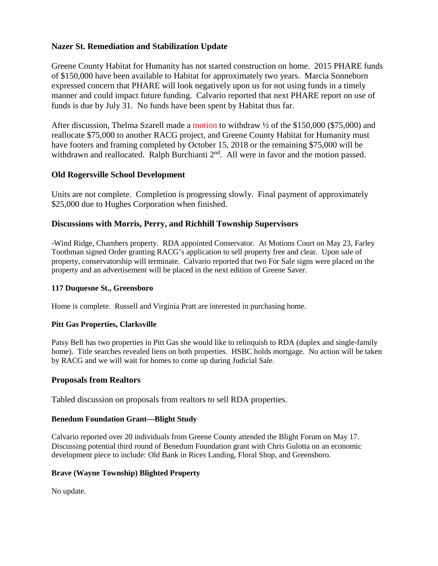# **Nazer St. Remediation and Stabilization Update**

Greene County Habitat for Humanity has not started construction on home. 2015 PHARE funds of \$150,000 have been available to Habitat for approximately two years. Marcia Sonneborn expressed concern that PHARE will look negatively upon us for not using funds in a timely manner and could impact future funding. Calvario reported that next PHARE report on use of funds is due by July 31. No funds have been spent by Habitat thus far.

After discussion, Thelma Szarell made a motion to withdraw  $\frac{1}{2}$  of the \$150,000 (\$75,000) and reallocate \$75,000 to another RACG project, and Greene County Habitat for Humanity must have footers and framing completed by October 15, 2018 or the remaining \$75,000 will be withdrawn and reallocated. Ralph Burchianti 2<sup>nd</sup>. All were in favor and the motion passed.

# **Old Rogersville School Development**

Units are not complete. Completion is progressing slowly. Final payment of approximately \$25,000 due to Hughes Corporation when finished.

## **Discussions with Morris, Perry, and Richhill Township Supervisors**

-Wind Ridge, Chambers property. RDA appointed Conservator. At Motions Court on May 23, Farley Toothman signed Order granting RACG's application to sell property free and clear. Upon sale of property, conservatorship will terminate. Calvario reported that two For Sale signs were placed on the property and an advertisement will be placed in the next edition of Greene Saver.

## **117 Duquesne St., Greensboro**

Home is complete. Russell and Virginia Pratt are interested in purchasing home.

## **Pitt Gas Properties, Clarksville**

Patsy Bell has two properties in Pitt Gas she would like to relinquish to RDA (duplex and single-family home). Title searches revealed liens on both properties. HSBC holds mortgage. No action will be taken by RACG and we will wait for homes to come up during Judicial Sale.

## **Proposals from Realtors**

Tabled discussion on proposals from realtors to sell RDA properties.

## **Benedum Foundation Grant—Blight Study**

Calvario reported over 20 individuals from Greene County attended the Blight Forum on May 17. Discussing potential third round of Benedum Foundation grant with Chris Gulotta on an economic development piece to include: Old Bank in Rices Landing, Floral Shop, and Greensboro.

#### **Brave (Wayne Township) Blighted Property**

No update.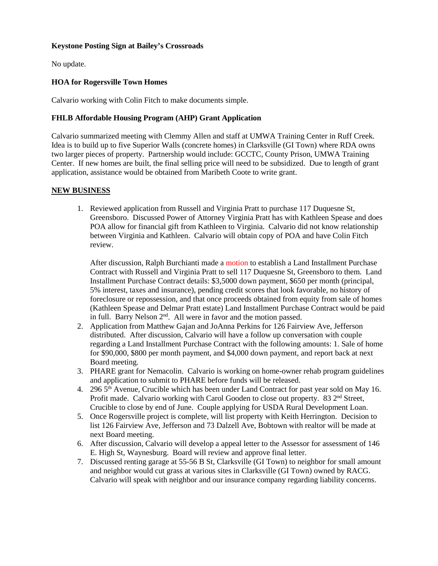#### **Keystone Posting Sign at Bailey's Crossroads**

No update.

#### **HOA for Rogersville Town Homes**

Calvario working with Colin Fitch to make documents simple.

#### **FHLB Affordable Housing Program (AHP) Grant Application**

Calvario summarized meeting with Clemmy Allen and staff at UMWA Training Center in Ruff Creek. Idea is to build up to five Superior Walls (concrete homes) in Clarksville (GI Town) where RDA owns two larger pieces of property. Partnership would include: GCCTC, County Prison, UMWA Training Center. If new homes are built, the final selling price will need to be subsidized. Due to length of grant application, assistance would be obtained from Maribeth Coote to write grant.

#### **NEW BUSINESS**

1. Reviewed application from Russell and Virginia Pratt to purchase 117 Duquesne St, Greensboro. Discussed Power of Attorney Virginia Pratt has with Kathleen Spease and does POA allow for financial gift from Kathleen to Virginia. Calvario did not know relationship between Virginia and Kathleen. Calvario will obtain copy of POA and have Colin Fitch review.

After discussion, Ralph Burchianti made a motion to establish a Land Installment Purchase Contract with Russell and Virginia Pratt to sell 117 Duquesne St, Greensboro to them. Land Installment Purchase Contract details: \$3,5000 down payment, \$650 per month (principal, 5% interest, taxes and insurance), pending credit scores that look favorable, no history of foreclosure or repossession, and that once proceeds obtained from equity from sale of homes (Kathleen Spease and Delmar Pratt estate) Land Installment Purchase Contract would be paid in full. Barry Nelson 2<sup>nd</sup>. All were in favor and the motion passed.

- 2. Application from Matthew Gajan and JoAnna Perkins for 126 Fairview Ave, Jefferson distributed. After discussion, Calvario will have a follow up conversation with couple regarding a Land Installment Purchase Contract with the following amounts: 1. Sale of home for \$90,000, \$800 per month payment, and \$4,000 down payment, and report back at next Board meeting.
- 3. PHARE grant for Nemacolin. Calvario is working on home-owner rehab program guidelines and application to submit to PHARE before funds will be released.
- 4. 296 5<sup>th</sup> Avenue, Crucible which has been under Land Contract for past year sold on May 16. Profit made. Calvario working with Carol Gooden to close out property. 83 2<sup>nd</sup> Street, Crucible to close by end of June. Couple applying for USDA Rural Development Loan.
- 5. Once Rogersville project is complete, will list property with Keith Herrington. Decision to list 126 Fairview Ave, Jefferson and 73 Dalzell Ave, Bobtown with realtor will be made at next Board meeting.
- 6. After discussion, Calvario will develop a appeal letter to the Assessor for assessment of 146 E. High St, Waynesburg. Board will review and approve final letter.
- 7. Discussed renting garage at 55-56 B St, Clarksville (GI Town) to neighbor for small amount and neighbor would cut grass at various sites in Clarksville (GI Town) owned by RACG. Calvario will speak with neighbor and our insurance company regarding liability concerns.